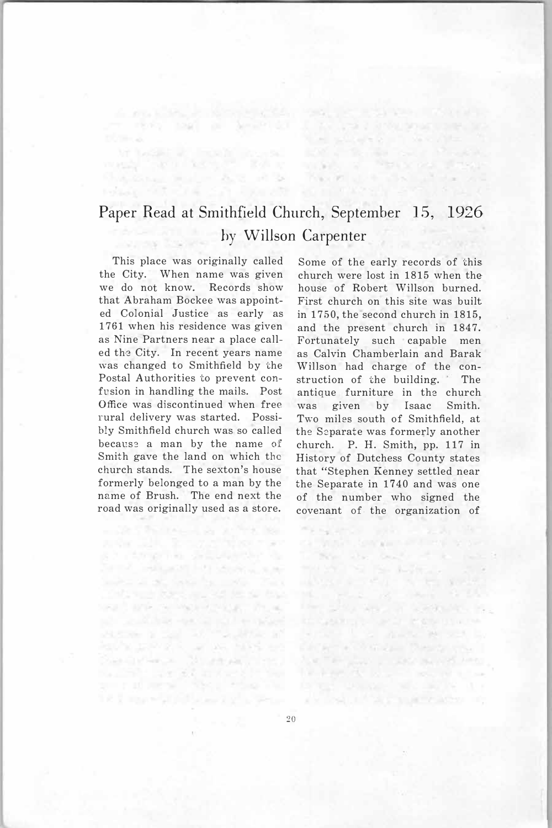## Paper Read at Smithfield Church, September 15, 1926 by WilJson Carpenter

**SOLD STATE** 

This place was originally called the City. When name was given we do not know. Records show that Abraham Bockee was appointed Colonial Justice as early as 1761 when his residence was given as Nine Partners near a place called the City. In recent years name was changed to Smithfield by the Postal Authorities to prevent confusion in handling the mails. Post Office was discontinued when free rural delivery was started. Possibly Smithfield church was so called because a man by the name of Smith gave the land on which the church stands. The sexton's house formerly belonged to a man by the name of Brush. The end next the road was originally used as a store.

Send addition for consumers

and are to welcomen, then

anger i Salvador (d. 1886)<br>1808: John Stormer (d. 1886)<br>2808: Personal Montman, fran

er rend top at Search of

this come made that it is

Some of the early records of this church were lost in 1815 when the house of Robert Willson burned. First church on this site was built in 1750, the second church in 1815, and the present church in 1847. Fortunately such capable men as Calvin Chamberlain and Barak Willson had charge of the construction of the building. The antique furniture in the church. was given by Isaac Smith. Two miles south of Smithfield, at the Separate was formerly another church. P. H. Smith, pp. 117 in History of Dutchess County states that "Stephen Kenney settled near the Separate in 1740 and was one of the number who signed the covenant of. the organization of

call with the company of the property The the best of a

se dalam Polence Parentsion<br>Secondo Company Personal<br>Geographical Personal

THE REPORT OF STREET

North and also all the or